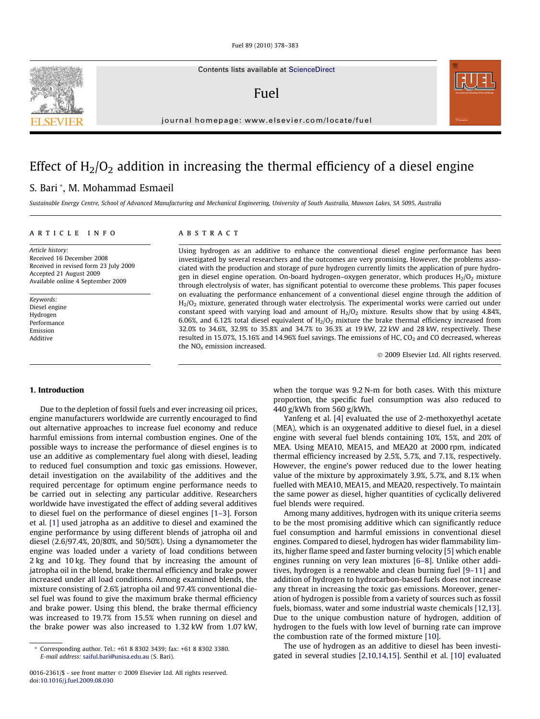Contents lists available at [ScienceDirect](http://www.sciencedirect.com/science/journal/00162361)

Fuel

journal homepage: [www.elsevier.com/locate/fuel](http://www.elsevier.com/locate/fuel)

# Effect of  $H_2/O_2$  addition in increasing the thermal efficiency of a diesel engine

# S. Bari \*, M. Mohammad Esmaeil

Sustainable Energy Centre, School of Advanced Manufacturing and Mechanical Engineering, University of South Australia, Mawson Lakes, SA 5095, Australia

# article info

Article history: Received 16 December 2008 Received in revised form 23 July 2009 Accepted 21 August 2009 Available online 4 September 2009

Keywords: Diesel engine Hydrogen Performance Emission Additive

# **ABSTRACT**

Using hydrogen as an additive to enhance the conventional diesel engine performance has been investigated by several researchers and the outcomes are very promising. However, the problems associated with the production and storage of pure hydrogen currently limits the application of pure hydrogen in diesel engine operation. On-board hydrogen–oxygen generator, which produces  $H_2/O_2$  mixture through electrolysis of water, has significant potential to overcome these problems. This paper focuses on evaluating the performance enhancement of a conventional diesel engine through the addition of  $H<sub>2</sub>/O<sub>2</sub>$  mixture, generated through water electrolysis. The experimental works were carried out under constant speed with varying load and amount of  $H_2/O_2$  mixture. Results show that by using 4.84%, 6.06%, and 6.12% total diesel equivalent of  $H_2/O_2$  mixture the brake thermal efficiency increased from 32.0% to 34.6%, 32.9% to 35.8% and 34.7% to 36.3% at 19 kW, 22 kW and 28 kW, respectively. These resulted in 15.07%, 15.16% and 14.96% fuel savings. The emissions of HC,  $CO<sub>2</sub>$  and CO decreased, whereas the NO<sub>v</sub> emission increased.

- 2009 Elsevier Ltd. All rights reserved.

#### 1. Introduction

Due to the depletion of fossil fuels and ever increasing oil prices, engine manufacturers worldwide are currently encouraged to find out alternative approaches to increase fuel economy and reduce harmful emissions from internal combustion engines. One of the possible ways to increase the performance of diesel engines is to use an additive as complementary fuel along with diesel, leading to reduced fuel consumption and toxic gas emissions. However, detail investigation on the availability of the additives and the required percentage for optimum engine performance needs to be carried out in selecting any particular additive. Researchers worldwide have investigated the effect of adding several additives to diesel fuel on the performance of diesel engines [\[1–3\]](#page-5-0). Forson et al. [\[1\]](#page-5-0) used jatropha as an additive to diesel and examined the engine performance by using different blends of jatropha oil and diesel (2.6/97.4%, 20/80%, and 50/50%). Using a dynamometer the engine was loaded under a variety of load conditions between 2 kg and 10 kg. They found that by increasing the amount of jatropha oil in the blend, brake thermal efficiency and brake power increased under all load conditions. Among examined blends, the mixture consisting of 2.6% jatropha oil and 97.4% conventional diesel fuel was found to give the maximum brake thermal efficiency and brake power. Using this blend, the brake thermal efficiency was increased to 19.7% from 15.5% when running on diesel and the brake power was also increased to 1.32 kW from 1.07 kW, when the torque was 9.2 N-m for both cases. With this mixture proportion, the specific fuel consumption was also reduced to 440 g/kWh from 560 g/kWh.

Yanfeng et al. [\[4\]](#page-5-0) evaluated the use of 2-methoxyethyl acetate (MEA), which is an oxygenated additive to diesel fuel, in a diesel engine with several fuel blends containing 10%, 15%, and 20% of MEA. Using MEA10, MEA15, and MEA20 at 2000 rpm, indicated thermal efficiency increased by 2.5%, 5.7%, and 7.1%, respectively. However, the engine's power reduced due to the lower heating value of the mixture by approximately 3.9%, 5.7%, and 8.1% when fuelled with MEA10, MEA15, and MEA20, respectively. To maintain the same power as diesel, higher quantities of cyclically delivered fuel blends were required.

Among many additives, hydrogen with its unique criteria seems to be the most promising additive which can significantly reduce fuel consumption and harmful emissions in conventional diesel engines. Compared to diesel, hydrogen has wider flammability limits, higher flame speed and faster burning velocity [\[5\]](#page-5-0) which enable engines running on very lean mixtures [\[6–8\]](#page-5-0). Unlike other additives, hydrogen is a renewable and clean burning fuel [\[9–11\]](#page-5-0) and addition of hydrogen to hydrocarbon-based fuels does not increase any threat in increasing the toxic gas emissions. Moreover, generation of hydrogen is possible from a variety of sources such as fossil fuels, biomass, water and some industrial waste chemicals [\[12,13\].](#page-5-0) Due to the unique combustion nature of hydrogen, addition of hydrogen to the fuels with low level of burning rate can improve the combustion rate of the formed mixture [\[10\]](#page-5-0).

The use of hydrogen as an additive to diesel has been investigated in several studies [\[2,10,14,15\].](#page-5-0) Senthil et al. [\[10\]](#page-5-0) evaluated





<sup>\*</sup> Corresponding author. Tel.: +61 8 8302 3439; fax: +61 8 8302 3380. E-mail address: [saiful.bari@unisa.edu.au](mailto:saiful.bari@unisa.edu.au) (S. Bari).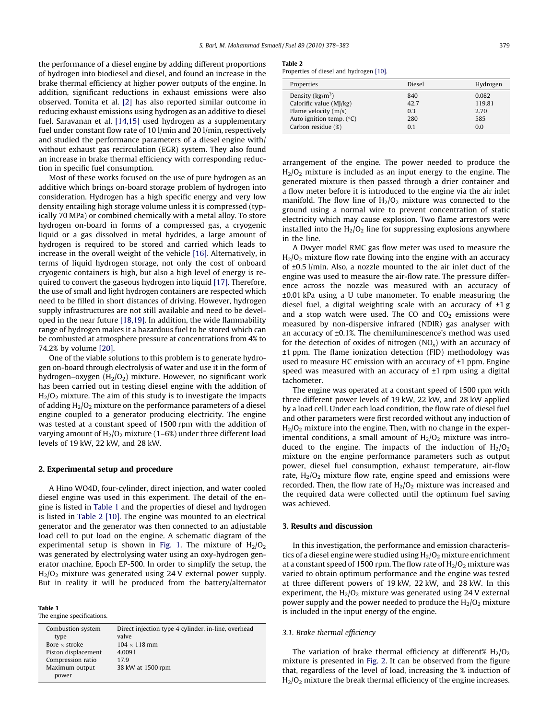the performance of a diesel engine by adding different proportions of hydrogen into biodiesel and diesel, and found an increase in the brake thermal efficiency at higher power outputs of the engine. In addition, significant reductions in exhaust emissions were also observed. Tomita et al. [\[2\]](#page-5-0) has also reported similar outcome in reducing exhaust emissions using hydrogen as an additive to diesel fuel. Saravanan et al. [\[14,15\]](#page-5-0) used hydrogen as a supplementary fuel under constant flow rate of 10 l/min and 20 l/min, respectively and studied the performance parameters of a diesel engine with/ without exhaust gas recirculation (EGR) system. They also found an increase in brake thermal efficiency with corresponding reduction in specific fuel consumption.

Most of these works focused on the use of pure hydrogen as an additive which brings on-board storage problem of hydrogen into consideration. Hydrogen has a high specific energy and very low density entailing high storage volume unless it is compressed (typically 70 MPa) or combined chemically with a metal alloy. To store hydrogen on-board in forms of a compressed gas, a cryogenic liquid or a gas dissolved in metal hydrides, a large amount of hydrogen is required to be stored and carried which leads to increase in the overall weight of the vehicle [\[16\]](#page-5-0). Alternatively, in terms of liquid hydrogen storage, not only the cost of onboard cryogenic containers is high, but also a high level of energy is required to convert the gaseous hydrogen into liquid [\[17\]](#page-5-0). Therefore, the use of small and light hydrogen containers are respected which need to be filled in short distances of driving. However, hydrogen supply infrastructures are not still available and need to be developed in the near future [\[18,19\].](#page-5-0) In addition, the wide flammability range of hydrogen makes it a hazardous fuel to be stored which can be combusted at atmosphere pressure at concentrations from 4% to 74.2% by volume [\[20\].](#page-5-0)

One of the viable solutions to this problem is to generate hydrogen on-board through electrolysis of water and use it in the form of hydrogen–oxygen  $(H_2/O_2)$  mixture. However, no significant work has been carried out in testing diesel engine with the addition of H2/O2 mixture. The aim of this study is to investigate the impacts of adding  $H<sub>2</sub>/O<sub>2</sub>$  mixture on the performance parameters of a diesel engine coupled to a generator producing electricity. The engine was tested at a constant speed of 1500 rpm with the addition of varying amount of  $H_2/O_2$  mixture (1–6%) under three different load levels of 19 kW, 22 kW, and 28 kW.

#### 2. Experimental setup and procedure

A Hino WO4D, four-cylinder, direct injection, and water cooled diesel engine was used in this experiment. The detail of the engine is listed in Table 1 and the properties of diesel and hydrogen is listed in Table 2 [\[10\].](#page-5-0) The engine was mounted to an electrical generator and the generator was then connected to an adjustable load cell to put load on the engine. A schematic diagram of the experimental setup is shown in [Fig. 1](#page-2-0). The mixture of  $H_2/O_2$ was generated by electrolysing water using an oxy-hydrogen generator machine, Epoch EP-500. In order to simplify the setup, the  $H<sub>2</sub>/O<sub>2</sub>$  mixture was generated using 24 V external power supply. But in reality it will be produced from the battery/alternator

Table 1

The engine specifications.

| Combustion system    | Direct injection type 4 cylinder, in-line, overhead |
|----------------------|-----------------------------------------------------|
| type                 | valve                                               |
| Bore $\times$ stroke | $104 \times 118$ mm                                 |
| Piston displacement  | 4.0091                                              |
| Compression ratio    | 17.9                                                |
| Maximum output       | 38 kW at 1500 rpm                                   |
| power                |                                                     |

#### Table 2

Properties of diesel and hydrogen [\[10\].](#page-5-0)

| Properties                        | <b>Diesel</b> | Hydrogen |
|-----------------------------------|---------------|----------|
| Density $(kg/m^3)$                | 840           | 0.082    |
| Calorific value (MJ/kg)           | 42.7          | 119.81   |
| Flame velocity $(m/s)$            | 0.3           | 2.70     |
| Auto ignition temp. $(^{\circ}C)$ | 280           | 585      |
| Carbon residue (%)                | 0.1           | 0.0      |
|                                   |               |          |

arrangement of the engine. The power needed to produce the  $H<sub>2</sub>/O<sub>2</sub>$  mixture is included as an input energy to the engine. The generated mixture is then passed through a drier container and a flow meter before it is introduced to the engine via the air inlet manifold. The flow line of  $H_2/O_2$  mixture was connected to the ground using a normal wire to prevent concentration of static electricity which may cause explosion. Two flame arrestors were installed into the  $H_2/O_2$  line for suppressing explosions anywhere in the line.

A Dwyer model RMC gas flow meter was used to measure the  $H<sub>2</sub>/O<sub>2</sub>$  mixture flow rate flowing into the engine with an accuracy of ±0.5 l/min. Also, a nozzle mounted to the air inlet duct of the engine was used to measure the air-flow rate. The pressure difference across the nozzle was measured with an accuracy of ±0.01 kPa using a U tube manometer. To enable measuring the diesel fuel, a digital weighting scale with an accuracy of ±1 g and a stop watch were used. The CO and  $CO<sub>2</sub>$  emissions were measured by non-dispersive infrared (NDIR) gas analyser with an accuracy of ±0.1%. The chemiluminescence's method was used for the detection of oxides of nitrogen  $(NO_x)$  with an accuracy of ±1 ppm. The flame ionization detection (FID) methodology was used to measure HC emission with an accuracy of  $\pm 1$  ppm. Engine speed was measured with an accuracy of  $\pm 1$  rpm using a digital tachometer.

The engine was operated at a constant speed of 1500 rpm with three different power levels of 19 kW, 22 kW, and 28 kW applied by a load cell. Under each load condition, the flow rate of diesel fuel and other parameters were first recorded without any induction of  $H<sub>2</sub>/O<sub>2</sub>$  mixture into the engine. Then, with no change in the experimental conditions, a small amount of  $H_2/O_2$  mixture was introduced to the engine. The impacts of the induction of  $H_2/O_2$ mixture on the engine performance parameters such as output power, diesel fuel consumption, exhaust temperature, air-flow rate,  $H_2/O_2$  mixture flow rate, engine speed and emissions were recorded. Then, the flow rate of  $H_2/O_2$  mixture was increased and the required data were collected until the optimum fuel saving was achieved.

#### 3. Results and discussion

In this investigation, the performance and emission characteristics of a diesel engine were studied using  $H_2/O_2$  mixture enrichment at a constant speed of 1500 rpm. The flow rate of  $H_2/O_2$  mixture was varied to obtain optimum performance and the engine was tested at three different powers of 19 kW, 22 kW, and 28 kW. In this experiment, the  $H_2/O_2$  mixture was generated using 24 V external power supply and the power needed to produce the  $H_2/O_2$  mixture is included in the input energy of the engine.

### 3.1. Brake thermal efficiency

The variation of brake thermal efficiency at different%  $H_2/O_2$ mixture is presented in [Fig. 2](#page-2-0). It can be observed from the figure that, regardless of the level of load, increasing the % induction of  $H<sub>2</sub>/O<sub>2</sub>$  mixture the break thermal efficiency of the engine increases.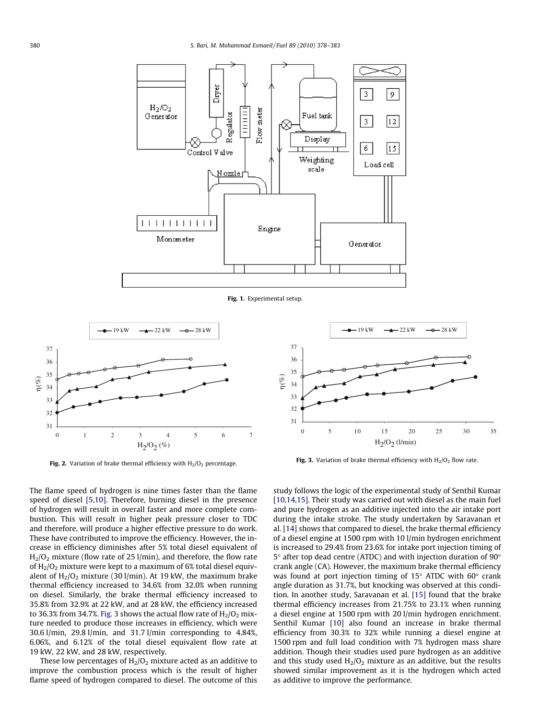<span id="page-2-0"></span>

Fig. 1. Experimental setup.



Fig. 2. Variation of brake thermal efficiency with  $H_2/O_2$  percentage.



Fig. 3. Variation of brake thermal efficiency with  $H_2/O_2$  flow rate.

The flame speed of hydrogen is nine times faster than the flame speed of diesel [\[5,10\].](#page-5-0) Therefore, burning diesel in the presence of hydrogen will result in overall faster and more complete combustion. This will result in higher peak pressure closer to TDC and therefore, will produce a higher effective pressure to do work. These have contributed to improve the efficiency. However, the increase in efficiency diminishes after 5% total diesel equivalent of  $H<sub>2</sub>/O<sub>2</sub>$  mixture (flow rate of 25 l/min), and therefore, the flow rate of  $H_2/O_2$  mixture were kept to a maximum of 6% total diesel equivalent of  $H_2/O_2$  mixture (30 l/min). At 19 kW, the maximum brake thermal efficiency increased to 34.6% from 32.0% when running on diesel. Similarly, the brake thermal efficiency increased to 35.8% from 32.9% at 22 kW, and at 28 kW, the efficiency increased to 36.3% from 34.7%. Fig. 3 shows the actual flow rate of  $H_2/O_2$  mixture needed to produce those increases in efficiency, which were 30.6 l/min, 29.8 l/min, and 31.7 l/min corresponding to 4.84%, 6.06%, and 6.12% of the total diesel equivalent flow rate at 19 kW, 22 kW, and 28 kW, respectively.

These low percentages of  $H_2/O_2$  mixture acted as an additive to improve the combustion process which is the result of higher flame speed of hydrogen compared to diesel. The outcome of this study follows the logic of the experimental study of Senthil Kumar [\[10,14,15\].](#page-5-0) Their study was carried out with diesel as the main fuel and pure hydrogen as an additive injected into the air intake port during the intake stroke. The study undertaken by Saravanan et al. [\[14\]](#page-5-0) shows that compared to diesel, the brake thermal efficiency of a diesel engine at 1500 rpm with 10 l/min hydrogen enrichment is increased to 29.4% from 23.6% for intake port injection timing of  $5^{\circ}$  after top dead centre (ATDC) and with injection duration of 90 $^{\circ}$ crank angle (CA). However, the maximum brake thermal efficiency was found at port injection timing of  $15^{\circ}$  ATDC with  $60^{\circ}$  crank angle duration as 31.7%, but knocking was observed at this condition. In another study, Saravanan et al. [\[15\]](#page-5-0) found that the brake thermal efficiency increases from 21.75% to 23.1% when running a diesel engine at 1500 rpm with 20 l/min hydrogen enrichment. Senthil Kumar [\[10\]](#page-5-0) also found an increase in brake thermal efficiency from 30.3% to 32% while running a diesel engine at 1500 rpm and full load condition with 7% hydrogen mass share addition. Though their studies used pure hydrogen as an additive and this study used  $H_2/O_2$  mixture as an additive, but the results showed similar improvement as it is the hydrogen which acted as additive to improve the performance.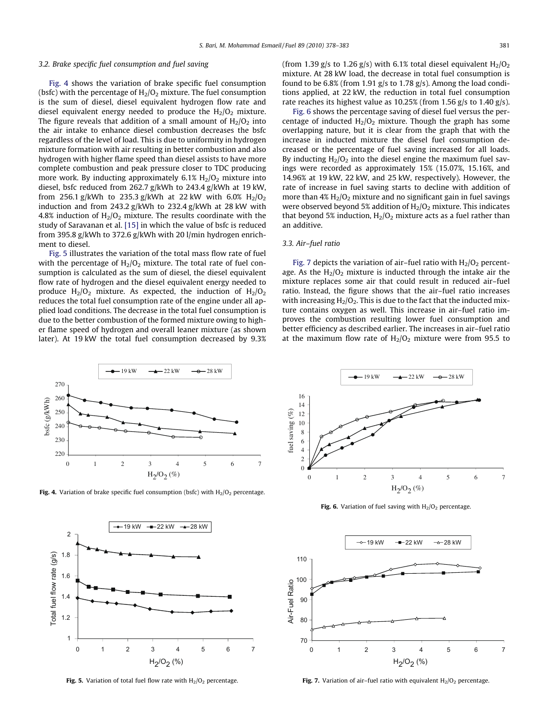#### 3.2. Brake specific fuel consumption and fuel saving

Fig. 4 shows the variation of brake specific fuel consumption (bsfc) with the percentage of  $H_2/O_2$  mixture. The fuel consumption is the sum of diesel, diesel equivalent hydrogen flow rate and diesel equivalent energy needed to produce the  $H_2/O_2$  mixture. The figure reveals that addition of a small amount of  $H_2/O_2$  into the air intake to enhance diesel combustion decreases the bsfc regardless of the level of load. This is due to uniformity in hydrogen mixture formation with air resulting in better combustion and also hydrogen with higher flame speed than diesel assists to have more complete combustion and peak pressure closer to TDC producing more work. By inducting approximately  $6.1\%$   $H_2/O_2$  mixture into diesel, bsfc reduced from 262.7 g/kWh to 243.4 g/kWh at 19 kW, from 256.1 g/kWh to 235.3 g/kWh at 22 kW with 6.0%  $H_2/O_2$ induction and from 243.2 g/kWh to 232.4 g/kWh at 28 kW with 4.8% induction of  $H_2/O_2$  mixture. The results coordinate with the study of Saravanan et al. [\[15\]](#page-5-0) in which the value of bsfc is reduced from 395.8 g/kWh to 372.6 g/kWh with 20 l/min hydrogen enrichment to diesel.

Fig. 5 illustrates the variation of the total mass flow rate of fuel with the percentage of  $H_2/O_2$  mixture. The total rate of fuel consumption is calculated as the sum of diesel, the diesel equivalent flow rate of hydrogen and the diesel equivalent energy needed to produce  $H_2/O_2$  mixture. As expected, the induction of  $H_2/O_2$ reduces the total fuel consumption rate of the engine under all applied load conditions. The decrease in the total fuel consumption is due to the better combustion of the formed mixture owing to higher flame speed of hydrogen and overall leaner mixture (as shown later). At 19 kW the total fuel consumption decreased by 9.3%



Fig. 4. Variation of brake specific fuel consumption (bsfc) with  $H_2/O_2$  percentage.



Fig. 5. Variation of total fuel flow rate with  $H_2/O_2$  percentage.

(from 1.39 g/s to 1.26 g/s) with 6.1% total diesel equivalent  $H_2/O_2$ mixture. At 28 kW load, the decrease in total fuel consumption is found to be 6.8% (from 1.91 g/s to 1.78 g/s). Among the load conditions applied, at 22 kW, the reduction in total fuel consumption rate reaches its highest value as 10.25% (from 1.56 g/s to 1.40 g/s).

Fig. 6 shows the percentage saving of diesel fuel versus the percentage of inducted  $H_2/O_2$  mixture. Though the graph has some overlapping nature, but it is clear from the graph that with the increase in inducted mixture the diesel fuel consumption decreased or the percentage of fuel saving increased for all loads. By inducting  $H_2/O_2$  into the diesel engine the maximum fuel savings were recorded as approximately 15% (15.07%, 15.16%, and 14.96% at 19 kW, 22 kW, and 25 kW, respectively). However, the rate of increase in fuel saving starts to decline with addition of more than  $4\%$  H<sub>2</sub>/O<sub>2</sub> mixture and no significant gain in fuel savings were observed beyond 5% addition of  $H_2/O_2$  mixture. This indicates that beyond 5% induction,  $H_2/O_2$  mixture acts as a fuel rather than an additive.

# 3.3. Air–fuel ratio

Fig. 7 depicts the variation of air-fuel ratio with  $H_2/O_2$  percentage. As the  $H_2/O_2$  mixture is inducted through the intake air the mixture replaces some air that could result in reduced air–fuel ratio. Instead, the figure shows that the air–fuel ratio increases with increasing  $H_2/O_2$ . This is due to the fact that the inducted mixture contains oxygen as well. This increase in air–fuel ratio improves the combustion resulting lower fuel consumption and better efficiency as described earlier. The increases in air–fuel ratio at the maximum flow rate of  $H_2/O_2$  mixture were from 95.5 to



Fig. 6. Variation of fuel saving with  $H_2/O_2$  percentage.



Fig. 7. Variation of air-fuel ratio with equivalent  $H_2/O_2$  percentage.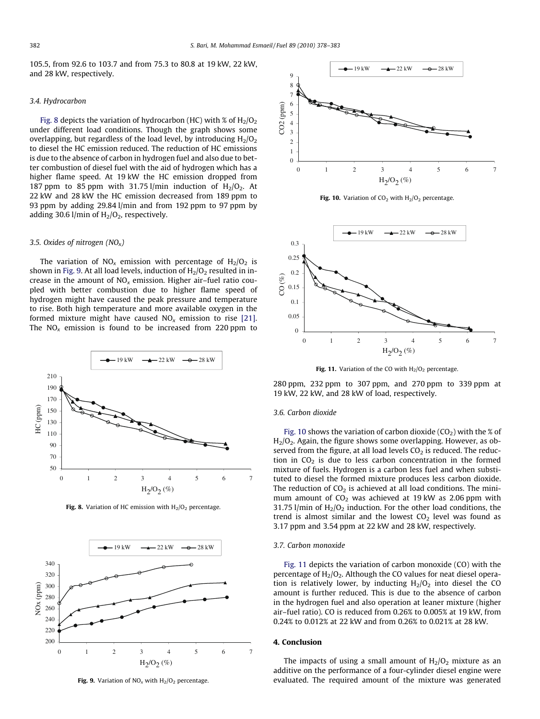105.5, from 92.6 to 103.7 and from 75.3 to 80.8 at 19 kW, 22 kW, and 28 kW, respectively.

# 3.4. Hydrocarbon

Fig. 8 depicts the variation of hydrocarbon (HC) with % of  $H_2/O_2$ under different load conditions. Though the graph shows some overlapping, but regardless of the load level, by introducing  $H_2/O_2$ to diesel the HC emission reduced. The reduction of HC emissions is due to the absence of carbon in hydrogen fuel and also due to better combustion of diesel fuel with the aid of hydrogen which has a higher flame speed. At 19 kW the HC emission dropped from 187 ppm to 85 ppm with 31.75 l/min induction of  $H_2/O_2$ . At 22 kW and 28 kW the HC emission decreased from 189 ppm to 93 ppm by adding 29.84 l/min and from 192 ppm to 97 ppm by adding 30.6 l/min of  $H_2/O_2$ , respectively.

#### 3.5. Oxides of nitrogen  $(NO_x)$

The variation of  $NO<sub>x</sub>$  emission with percentage of  $H<sub>2</sub>/O<sub>2</sub>$  is shown in Fig. 9. At all load levels, induction of  $H<sub>2</sub>/O<sub>2</sub>$  resulted in increase in the amount of  $NO<sub>x</sub>$  emission. Higher air-fuel ratio coupled with better combustion due to higher flame speed of hydrogen might have caused the peak pressure and temperature to rise. Both high temperature and more available oxygen in the formed mixture might have caused  $NO<sub>x</sub>$  emission to rise [\[21\].](#page-5-0) The  $NO<sub>x</sub>$  emission is found to be increased from 220 ppm to



Fig. 8. Variation of HC emission with  $H_2/O_2$  percentage.



Fig. 9. Variation of  $NO<sub>x</sub>$  with  $H<sub>2</sub>/O<sub>2</sub>$  percentage.



Fig. 10. Variation of  $CO<sub>2</sub>$  with  $H<sub>2</sub>/O<sub>2</sub>$  percentage.



Fig. 11. Variation of the CO with  $H_2/O_2$  percentage.

280 ppm, 232 ppm to 307 ppm, and 270 ppm to 339 ppm at 19 kW, 22 kW, and 28 kW of load, respectively.

# 3.6. Carbon dioxide

Fig. 10 shows the variation of carbon dioxide  $(CO<sub>2</sub>)$  with the % of  $H<sub>2</sub>/O<sub>2</sub>$ . Again, the figure shows some overlapping. However, as observed from the figure, at all load levels  $CO<sub>2</sub>$  is reduced. The reduction in  $CO<sub>2</sub>$  is due to less carbon concentration in the formed mixture of fuels. Hydrogen is a carbon less fuel and when substituted to diesel the formed mixture produces less carbon dioxide. The reduction of  $CO<sub>2</sub>$  is achieved at all load conditions. The minimum amount of  $CO<sub>2</sub>$  was achieved at 19 kW as 2.06 ppm with 31.75 l/min of  $H_2/O_2$  induction. For the other load conditions, the trend is almost similar and the lowest  $CO<sub>2</sub>$  level was found as 3.17 ppm and 3.54 ppm at 22 kW and 28 kW, respectively.

#### 3.7. Carbon monoxide

Fig. 11 depicts the variation of carbon monoxide (CO) with the percentage of  $H_2/O_2$ . Although the CO values for neat diesel operation is relatively lower, by inducting  $H_2/O_2$  into diesel the CO amount is further reduced. This is due to the absence of carbon in the hydrogen fuel and also operation at leaner mixture (higher air–fuel ratio). CO is reduced from 0.26% to 0.005% at 19 kW, from 0.24% to 0.012% at 22 kW and from 0.26% to 0.021% at 28 kW.

# 4. Conclusion

The impacts of using a small amount of  $H_2/O_2$  mixture as an additive on the performance of a four-cylinder diesel engine were evaluated. The required amount of the mixture was generated